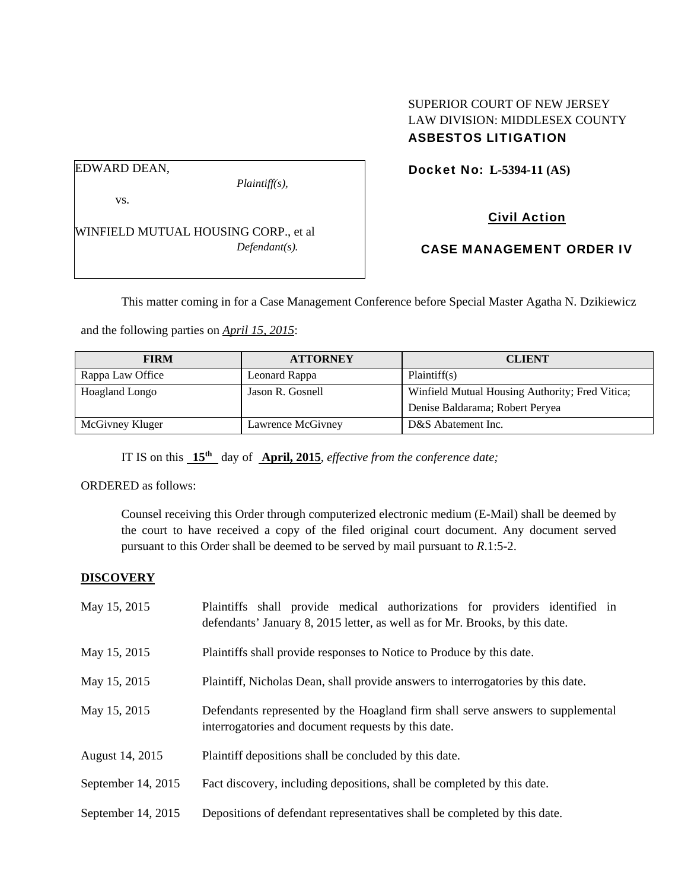# SUPERIOR COURT OF NEW JERSEY LAW DIVISION: MIDDLESEX COUNTY ASBESTOS LITIGATION

Docket No: **L-5394-11 (AS)** 

# EDWARD DEAN,

vs.

*Plaintiff(s),* 

Civil Action

WINFIELD MUTUAL HOUSING CORP., et al *Defendant(s).* 

CASE MANAGEMENT ORDER IV

This matter coming in for a Case Management Conference before Special Master Agatha N. Dzikiewicz

and the following parties on *April 15, 2015*:

| <b>FIRM</b>      | <b>ATTORNEY</b>   | <b>CLIENT</b>                                   |
|------------------|-------------------|-------------------------------------------------|
| Rappa Law Office | Leonard Rappa     | Plaintiff(s)                                    |
| Hoagland Longo   | Jason R. Gosnell  | Winfield Mutual Housing Authority; Fred Vitica; |
|                  |                   | Denise Baldarama; Robert Peryea                 |
| McGivney Kluger  | Lawrence McGivney | D&S Abatement Inc.                              |

IT IS on this **15th** day of **April, 2015**, *effective from the conference date;*

ORDERED as follows:

Counsel receiving this Order through computerized electronic medium (E-Mail) shall be deemed by the court to have received a copy of the filed original court document. Any document served pursuant to this Order shall be deemed to be served by mail pursuant to *R*.1:5-2.

### **DISCOVERY**

| May 15, 2015       | Plaintiffs shall provide medical authorizations for providers identified in<br>defendants' January 8, 2015 letter, as well as for Mr. Brooks, by this date. |  |  |
|--------------------|-------------------------------------------------------------------------------------------------------------------------------------------------------------|--|--|
| May 15, 2015       | Plaintiffs shall provide responses to Notice to Produce by this date.                                                                                       |  |  |
| May 15, 2015       | Plaintiff, Nicholas Dean, shall provide answers to interrogatories by this date.                                                                            |  |  |
| May 15, 2015       | Defendants represented by the Hoagland firm shall serve answers to supplemental<br>interrogatories and document requests by this date.                      |  |  |
| August 14, 2015    | Plaintiff depositions shall be concluded by this date.                                                                                                      |  |  |
| September 14, 2015 | Fact discovery, including depositions, shall be completed by this date.                                                                                     |  |  |
| September 14, 2015 | Depositions of defendant representatives shall be completed by this date.                                                                                   |  |  |